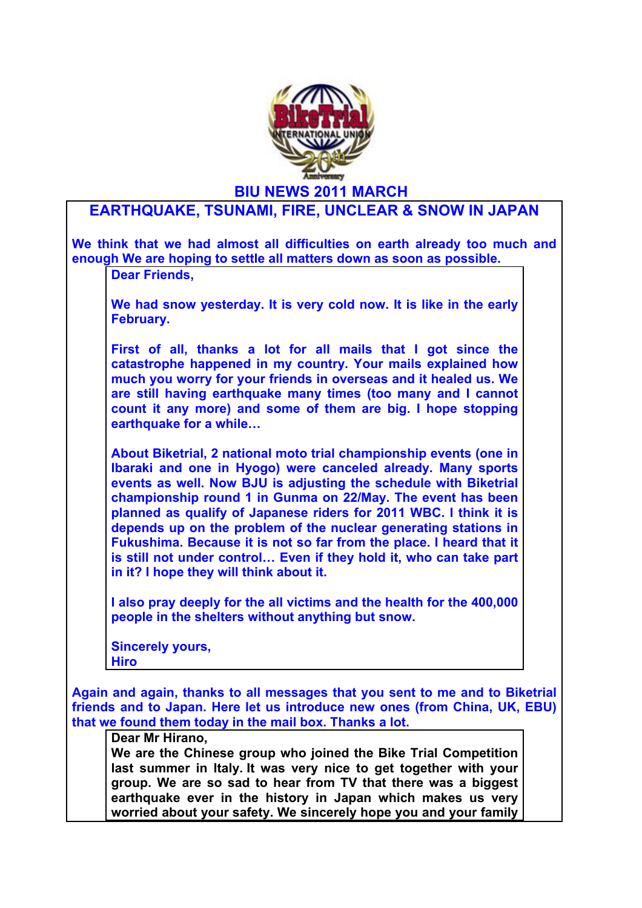

**BIU NEWS 2011 MARCH**

## **EARTHQUAKE, TSUNAMI, FIRE, UNCLEAR & SNOW IN JAPAN**

**We think that we had almost all difficulties on earth already too much and enough We are hoping to settle all matters down as soon as possible. Dear Friends, We had snow yesterday. It is very cold now. It is like in the early February. First of all, thanks a lot for all mails that I got since the catastrophe happened in my country. Your mails explained how much you worry for your friends in overseas and it healed us. We are still having earthquake many times (too many and I cannot count it any more) and some of them are big. I hope stopping earthquake for a while… About Biketrial, 2 national moto trial championship events (one in Ibaraki and one in Hyogo) were canceled already. Many sports events as well. Now BJU is adjusting the schedule with Biketrial championship round 1 in Gunma on 22/May. The event has been planned as qualify of Japanese riders for 2011 WBC. I think it is depends up on the problem of the nuclear generating stations in Fukushima. Because it is not so far from the place. I heard that it is still not under control… Even if they hold it, who can take part in it? I hope they will think about it. I also pray deeply for the all victims and the health for the 400,000 people in the shelters without anything but snow. Sincerely yours, Hiro Again and again, thanks to all messages that you sent to me and to Biketrial friends and to Japan. Here let us introduce new ones (from China, UK, EBU) that we found them today in the mail box. Thanks a lot. Dear Mr Hirano, We are the Chinese group who joined the Bike Trial Competition last summer in Italy. It was very nice to get together with your group. We are so sad to hear from TV that there was a biggest earthquake ever in the history in Japan which makes us very** 

**worried about your safety. We sincerely hope you and your family**